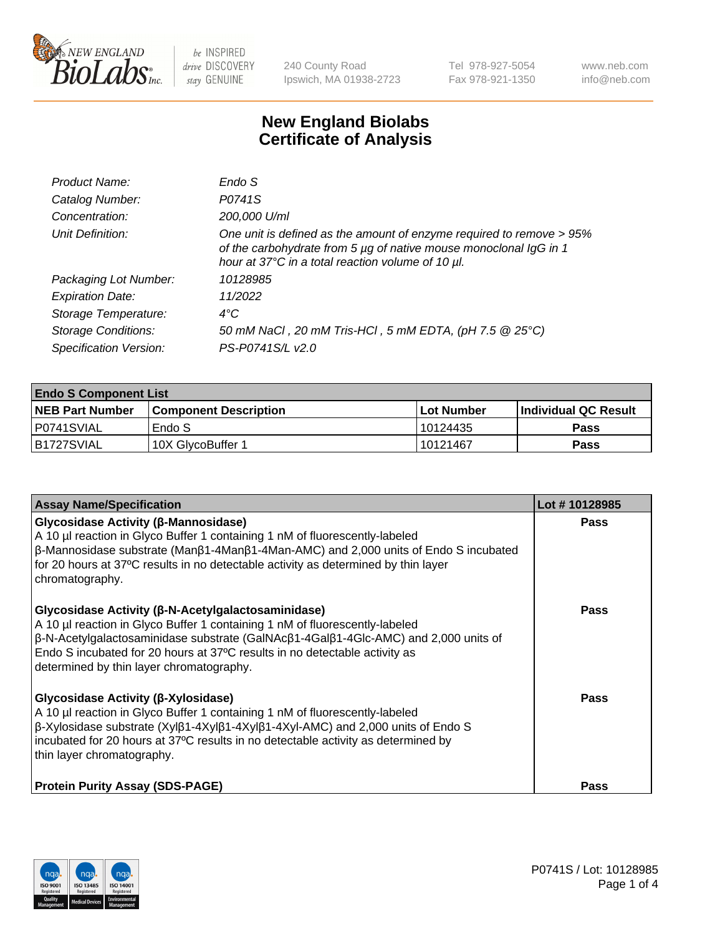

240 County Road Ipswich, MA 01938-2723 Tel 978-927-5054 Fax 978-921-1350 www.neb.com info@neb.com

## **New England Biolabs Certificate of Analysis**

| Product Name:              | Endo S                                                                                                                                                                                         |
|----------------------------|------------------------------------------------------------------------------------------------------------------------------------------------------------------------------------------------|
| Catalog Number:            | P0741S                                                                                                                                                                                         |
| Concentration:             | 200,000 U/ml                                                                                                                                                                                   |
| Unit Definition:           | One unit is defined as the amount of enzyme required to remove > 95%<br>of the carbohydrate from 5 µg of native mouse monoclonal IgG in 1<br>hour at 37°C in a total reaction volume of 10 µl. |
| Packaging Lot Number:      | 10128985                                                                                                                                                                                       |
| <b>Expiration Date:</b>    | 11/2022                                                                                                                                                                                        |
| Storage Temperature:       | $4^{\circ}$ C                                                                                                                                                                                  |
| <b>Storage Conditions:</b> | 50 mM NaCl, 20 mM Tris-HCl, 5 mM EDTA, (pH 7.5 @ 25°C)                                                                                                                                         |
| Specification Version:     | PS-P0741S/L v2.0                                                                                                                                                                               |
|                            |                                                                                                                                                                                                |

| <b>Endo S Component List</b> |                         |            |                             |  |  |
|------------------------------|-------------------------|------------|-----------------------------|--|--|
| <b>NEB Part Number</b>       | l Component Description | Lot Number | <b>Individual QC Result</b> |  |  |
| P0741SVIAL                   | Endo S                  | 10124435   | Pass                        |  |  |
| B1727SVIAL                   | 10X GlycoBuffer 1       | 10121467   | Pass                        |  |  |

| <b>Assay Name/Specification</b>                                                                                                                                                                                                                                                                                                                         | Lot #10128985 |
|---------------------------------------------------------------------------------------------------------------------------------------------------------------------------------------------------------------------------------------------------------------------------------------------------------------------------------------------------------|---------------|
| Glycosidase Activity (β-Mannosidase)<br>A 10 µl reaction in Glyco Buffer 1 containing 1 nM of fluorescently-labeled<br>$\beta$ -Mannosidase substrate (Man $\beta$ 1-4Man $\beta$ 1-4Man-AMC) and 2,000 units of Endo S incubated<br>for 20 hours at 37°C results in no detectable activity as determined by thin layer<br>chromatography.              | <b>Pass</b>   |
| Glycosidase Activity (β-N-Acetylgalactosaminidase)<br>A 10 µl reaction in Glyco Buffer 1 containing 1 nM of fluorescently-labeled<br>β-N-Acetylgalactosaminidase substrate (GalNAcβ1-4Galβ1-4Glc-AMC) and 2,000 units of<br>Endo S incubated for 20 hours at 37°C results in no detectable activity as<br>determined by thin layer chromatography.      | <b>Pass</b>   |
| Glycosidase Activity (β-Xylosidase)<br>A 10 µl reaction in Glyco Buffer 1 containing 1 nM of fluorescently-labeled<br>$\beta$ -Xylosidase substrate (Xyl $\beta$ 1-4Xyl $\beta$ 1-4Xyl $\beta$ 1-4Xyl-AMC) and 2,000 units of Endo S<br>incubated for 20 hours at 37°C results in no detectable activity as determined by<br>thin layer chromatography. | Pass          |
| <b>Protein Purity Assay (SDS-PAGE)</b>                                                                                                                                                                                                                                                                                                                  | Pass          |

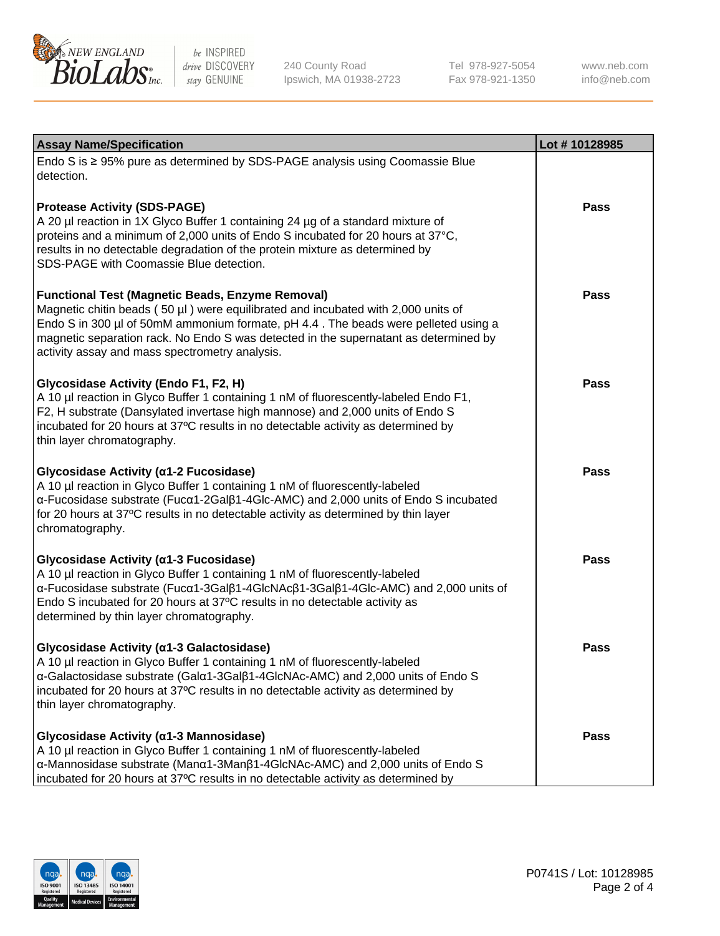

240 County Road Ipswich, MA 01938-2723 Tel 978-927-5054 Fax 978-921-1350

www.neb.com info@neb.com

| <b>Assay Name/Specification</b>                                                                                                                                                                                                                                                                                                                                              | Lot #10128985 |
|------------------------------------------------------------------------------------------------------------------------------------------------------------------------------------------------------------------------------------------------------------------------------------------------------------------------------------------------------------------------------|---------------|
| Endo S is ≥ 95% pure as determined by SDS-PAGE analysis using Coomassie Blue<br>detection.                                                                                                                                                                                                                                                                                   |               |
| <b>Protease Activity (SDS-PAGE)</b><br>A 20 µl reaction in 1X Glyco Buffer 1 containing 24 µg of a standard mixture of<br>proteins and a minimum of 2,000 units of Endo S incubated for 20 hours at 37°C,<br>results in no detectable degradation of the protein mixture as determined by<br>SDS-PAGE with Coomassie Blue detection.                                         | <b>Pass</b>   |
| <b>Functional Test (Magnetic Beads, Enzyme Removal)</b><br>Magnetic chitin beads (50 µl) were equilibrated and incubated with 2,000 units of<br>Endo S in 300 µl of 50mM ammonium formate, pH 4.4. The beads were pelleted using a<br>magnetic separation rack. No Endo S was detected in the supernatant as determined by<br>activity assay and mass spectrometry analysis. | <b>Pass</b>   |
| Glycosidase Activity (Endo F1, F2, H)<br>A 10 µl reaction in Glyco Buffer 1 containing 1 nM of fluorescently-labeled Endo F1,<br>F2, H substrate (Dansylated invertase high mannose) and 2,000 units of Endo S<br>incubated for 20 hours at 37°C results in no detectable activity as determined by<br>thin layer chromatography.                                            | Pass          |
| Glycosidase Activity (α1-2 Fucosidase)<br>A 10 µl reaction in Glyco Buffer 1 containing 1 nM of fluorescently-labeled<br>α-Fucosidase substrate (Fucα1-2Galβ1-4Glc-AMC) and 2,000 units of Endo S incubated<br>for 20 hours at 37°C results in no detectable activity as determined by thin layer<br>chromatography.                                                         | <b>Pass</b>   |
| Glycosidase Activity (α1-3 Fucosidase)<br>A 10 µl reaction in Glyco Buffer 1 containing 1 nM of fluorescently-labeled<br>α-Fucosidase substrate (Fucα1-3Galβ1-4GlcNAcβ1-3Galβ1-4Glc-AMC) and 2,000 units of<br>Endo S incubated for 20 hours at 37°C results in no detectable activity as<br>determined by thin layer chromatography.                                        | <b>Pass</b>   |
| Glycosidase Activity (α1-3 Galactosidase)<br>A 10 µl reaction in Glyco Buffer 1 containing 1 nM of fluorescently-labeled<br>α-Galactosidase substrate (Galα1-3Galβ1-4GlcNAc-AMC) and 2,000 units of Endo S<br>incubated for 20 hours at 37°C results in no detectable activity as determined by<br>thin layer chromatography.                                                | Pass          |
| Glycosidase Activity (α1-3 Mannosidase)<br>A 10 µl reaction in Glyco Buffer 1 containing 1 nM of fluorescently-labeled<br>α-Mannosidase substrate (Manα1-3Manβ1-4GlcNAc-AMC) and 2,000 units of Endo S<br>incubated for 20 hours at 37°C results in no detectable activity as determined by                                                                                  | Pass          |

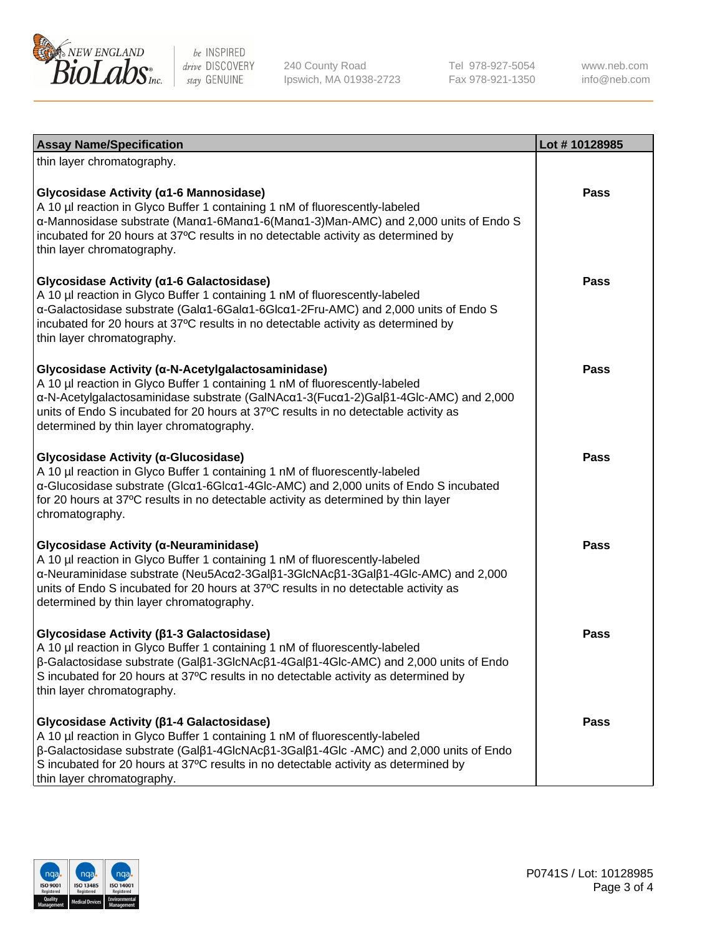

240 County Road Ipswich, MA 01938-2723 Tel 978-927-5054 Fax 978-921-1350

www.neb.com info@neb.com

| <b>Assay Name/Specification</b>                                                                                                                                                                                                                                                                                                                                              | Lot #10128985 |
|------------------------------------------------------------------------------------------------------------------------------------------------------------------------------------------------------------------------------------------------------------------------------------------------------------------------------------------------------------------------------|---------------|
| thin layer chromatography.                                                                                                                                                                                                                                                                                                                                                   |               |
| Glycosidase Activity (α1-6 Mannosidase)<br>A 10 µl reaction in Glyco Buffer 1 containing 1 nM of fluorescently-labeled<br>α-Mannosidase substrate (Μanα1-6Μanα1-6(Μanα1-3)Man-AMC) and 2,000 units of Endo S<br>incubated for 20 hours at 37°C results in no detectable activity as determined by<br>thin layer chromatography.                                              | <b>Pass</b>   |
| Glycosidase Activity (α1-6 Galactosidase)<br>A 10 µl reaction in Glyco Buffer 1 containing 1 nM of fluorescently-labeled<br>α-Galactosidase substrate (Galα1-6Galα1-6Glcα1-2Fru-AMC) and 2,000 units of Endo S<br>incubated for 20 hours at 37°C results in no detectable activity as determined by<br>thin layer chromatography.                                            | <b>Pass</b>   |
| Glycosidase Activity (α-N-Acetylgalactosaminidase)<br>A 10 µl reaction in Glyco Buffer 1 containing 1 nM of fluorescently-labeled<br>α-N-Acetylgalactosaminidase substrate (GalNAcα1-3(Fucα1-2)Galβ1-4Glc-AMC) and 2,000<br>units of Endo S incubated for 20 hours at 37°C results in no detectable activity as<br>determined by thin layer chromatography.                  | Pass          |
| Glycosidase Activity (α-Glucosidase)<br>A 10 µl reaction in Glyco Buffer 1 containing 1 nM of fluorescently-labeled<br>α-Glucosidase substrate (Glcα1-6Glcα1-4Glc-AMC) and 2,000 units of Endo S incubated<br>for 20 hours at 37°C results in no detectable activity as determined by thin layer<br>chromatography.                                                          | <b>Pass</b>   |
| Glycosidase Activity (α-Neuraminidase)<br>A 10 µl reaction in Glyco Buffer 1 containing 1 nM of fluorescently-labeled<br>α-Neuraminidase substrate (Neu5Acα2-3Galβ1-3GlcNAcβ1-3Galβ1-4Glc-AMC) and 2,000<br>units of Endo S incubated for 20 hours at 37°C results in no detectable activity as<br>determined by thin layer chromatography.                                  | <b>Pass</b>   |
| Glycosidase Activity (β1-3 Galactosidase)<br>A 10 µl reaction in Glyco Buffer 1 containing 1 nM of fluorescently-labeled<br>β-Galactosidase substrate (Galβ1-3GlcNAcβ1-4Galβ1-4Glc-AMC) and 2,000 units of Endo<br>S incubated for 20 hours at 37°C results in no detectable activity as determined by<br>thin layer chromatography.                                         | Pass          |
| Glycosidase Activity ( $\beta$ 1-4 Galactosidase)<br>A 10 µl reaction in Glyco Buffer 1 containing 1 nM of fluorescently-labeled<br>$\beta$ -Galactosidase substrate (Gal $\beta$ 1-4GlcNAc $\beta$ 1-3Gal $\beta$ 1-4Glc -AMC) and 2,000 units of Endo<br>S incubated for 20 hours at 37°C results in no detectable activity as determined by<br>thin layer chromatography. | <b>Pass</b>   |